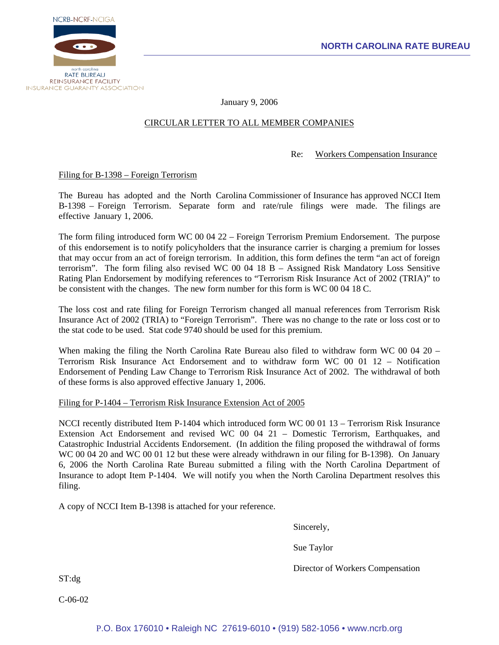

January 9, 2006

## CIRCULAR LETTER TO ALL MEMBER COMPANIES

### Re: Workers Compensation Insurance

Filing for B-1398 – Foreign Terrorism

The Bureau has adopted and the North Carolina Commissioner of Insurance has approved NCCI Item B-1398 – Foreign Terrorism. Separate form and rate/rule filings were made. The filings are effective January 1, 2006.

The form filing introduced form WC 00 04 22 – Foreign Terrorism Premium Endorsement. The purpose of this endorsement is to notify policyholders that the insurance carrier is charging a premium for losses that may occur from an act of foreign terrorism. In addition, this form defines the term "an act of foreign terrorism". The form filing also revised WC 00 04 18 B – Assigned Risk Mandatory Loss Sensitive Rating Plan Endorsement by modifying references to "Terrorism Risk Insurance Act of 2002 (TRIA)" to be consistent with the changes. The new form number for this form is WC 00 04 18 C.

The loss cost and rate filing for Foreign Terrorism changed all manual references from Terrorism Risk Insurance Act of 2002 (TRIA) to "Foreign Terrorism". There was no change to the rate or loss cost or to the stat code to be used. Stat code 9740 should be used for this premium.

When making the filing the North Carolina Rate Bureau also filed to withdraw form WC 00 04 20 – Terrorism Risk Insurance Act Endorsement and to withdraw form WC 00 01 12 – Notification Endorsement of Pending Law Change to Terrorism Risk Insurance Act of 2002. The withdrawal of both of these forms is also approved effective January 1, 2006.

### Filing for P-1404 – Terrorism Risk Insurance Extension Act of 2005

NCCI recently distributed Item P-1404 which introduced form WC 00 01 13 – Terrorism Risk Insurance Extension Act Endorsement and revised WC 00 04 21 – Domestic Terrorism, Earthquakes, and Catastrophic Industrial Accidents Endorsement. (In addition the filing proposed the withdrawal of forms WC 00 04 20 and WC 00 01 12 but these were already withdrawn in our filing for B-1398). On January 6, 2006 the North Carolina Rate Bureau submitted a filing with the North Carolina Department of Insurance to adopt Item P-1404. We will notify you when the North Carolina Department resolves this filing.

A copy of NCCI Item B-1398 is attached for your reference.

Sincerely,

Sue Taylor

Director of Workers Compensation

ST:dg

C-06-02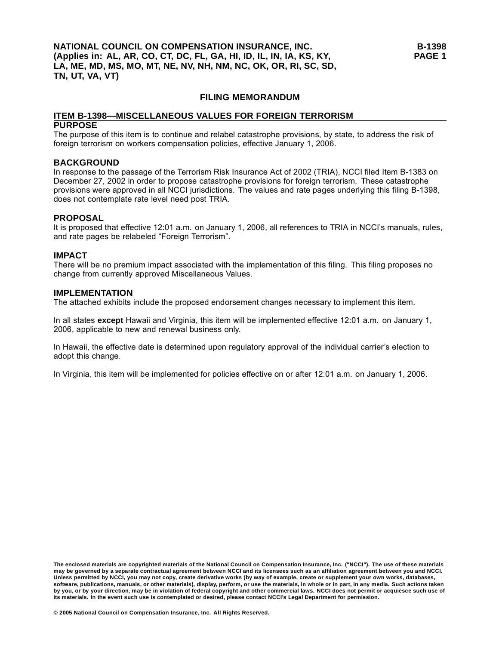### **FILING MEMORANDUM**

#### **ITEM B-1398—MISCELLANEOUS VALUES FOR FOREIGN TERRORISM PURPOSE**

The purpose of this item is to continue and relabel catastrophe provisions, by state, to address the risk of foreign terrorism on workers compensation policies, effective January 1, 2006.

### **BACKGROUND**

In response to the passage of the Terrorism Risk Insurance Act of 2002 (TRIA), NCCI filed Item B-1383 on December 27, 2002 in order to propose catastrophe provisions for foreign terrorism. These catastrophe provisions were approved in all NCCI jurisdictions. The values and rate pages underlying this filing B-1398, does not contemplate rate level need post TRIA.

#### **PROPOSAL**

It is proposed that effective 12:01 a.m. on January 1, 2006, all references to TRIA in NCCI's manuals, rules, and rate pages be relabeled "Foreign Terrorism".

#### **IMPACT**

There will be no premium impact associated with the implementation of this filing. This filing proposes no change from currently approved Miscellaneous Values.

#### **IMPLEMENTATION**

The attached exhibits include the proposed endorsement changes necessary to implement this item.

In all states **except** Hawaii and Virginia, this item will be implemented effective 12:01 a.m. on January 1, 2006, applicable to new and renewal business only.

In Hawaii, the effective date is determined upon regulatory approval of the individual carrier's election to adopt this change.

In Virginia, this item will be implemented for policies effective on or after 12:01 a.m. on January 1, 2006.

**The enclosed materials are copyrighted materials of the National Council on Compensation Insurance, Inc. ("NCCI"). The use of these materials may be governed by a separate contractual agreement between NCCI and its licensees such as an affiliation agreement between you and NCCI. Unless permitted by NCCI, you may not copy, create derivative works (by way of example, create or supplement your own works, databases, software, publications, manuals, or other materials), display, perform, or use the materials, in whole or in part, in any media. Such actions taken by you, or by your direction, may be in violation of federal copyright and other commercial laws. NCCI does not permit or acquiesce such use of its materials. In the event such use is contemplated or desired, please contact NCCI's Legal Department for permission.**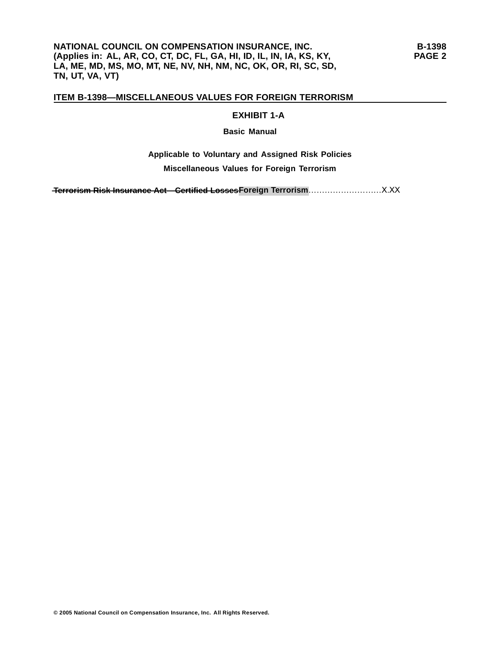#### **EXHIBIT 1-A**

#### **Basic Manual**

## **Applicable to Voluntary and Assigned Risk Policies Miscellaneous Values for Foreign Terrorism**

 $\textcolor{red}{\textbf{A}}\textbf{F}}$  **Ferrorism Risk Insurance Act - Certified Losses Foreign Terrorism**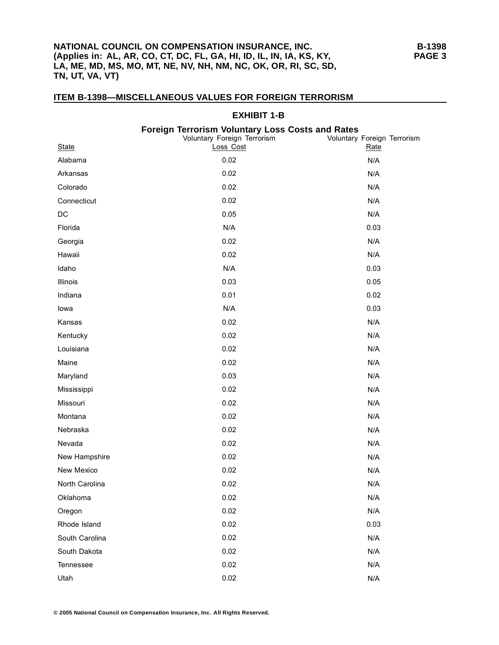### **NATIONAL COUNCIL ON COMPENSATION INSURANCE, INC. (Applies in: AL, AR, CO, CT, DC, FL, GA, HI, ID, IL, IN, IA, KS, KY, LA, ME, MD, MS, MO, MT, NE, NV, NH, NM, NC, OK, OR, RI, SC, SD, TN, UT, VA, VT)**

| <b>EXHIBIT 1-B</b> |  |                                                                                                     |                                     |
|--------------------|--|-----------------------------------------------------------------------------------------------------|-------------------------------------|
| <b>State</b>       |  | <b>Foreign Terrorism Voluntary Loss Costs and Rates</b><br>Voluntary Foreign Terrorism<br>Loss Cost | Voluntary Foreign Terrorism<br>Rate |
| Alabama            |  | 0.02                                                                                                | N/A                                 |
| Arkansas           |  | 0.02                                                                                                | N/A                                 |
| Colorado           |  | 0.02                                                                                                | N/A                                 |
| Connecticut        |  | 0.02                                                                                                | N/A                                 |
| DC                 |  | 0.05                                                                                                | N/A                                 |
| Florida            |  | N/A                                                                                                 | 0.03                                |
| Georgia            |  | 0.02                                                                                                | N/A                                 |
| Hawaii             |  | 0.02                                                                                                | N/A                                 |
| Idaho              |  | N/A                                                                                                 | 0.03                                |
| Illinois           |  | 0.03                                                                                                | 0.05                                |
| Indiana            |  | 0.01                                                                                                | 0.02                                |
| lowa               |  | N/A                                                                                                 | 0.03                                |
| Kansas             |  | 0.02                                                                                                | N/A                                 |
| Kentucky           |  | 0.02                                                                                                | N/A                                 |
| Louisiana          |  | 0.02                                                                                                | N/A                                 |
| Maine              |  | 0.02                                                                                                | N/A                                 |
| Maryland           |  | 0.03                                                                                                | N/A                                 |
| Mississippi        |  | 0.02                                                                                                | N/A                                 |
| Missouri           |  | 0.02                                                                                                | N/A                                 |
| Montana            |  | 0.02                                                                                                | N/A                                 |
| Nebraska           |  | 0.02                                                                                                | N/A                                 |
| Nevada             |  | 0.02                                                                                                | N/A                                 |
| New Hampshire      |  | 0.02                                                                                                | N/A                                 |
| New Mexico         |  | 0.02                                                                                                | N/A                                 |
| North Carolina     |  | 0.02                                                                                                | N/A                                 |
| Oklahoma           |  | 0.02                                                                                                | N/A                                 |
| Oregon             |  | 0.02                                                                                                | N/A                                 |
| Rhode Island       |  | 0.02                                                                                                | 0.03                                |
| South Carolina     |  | 0.02                                                                                                | N/A                                 |
| South Dakota       |  | 0.02                                                                                                | N/A                                 |
| Tennessee          |  | 0.02                                                                                                | N/A                                 |
| Utah               |  | 0.02                                                                                                | N/A                                 |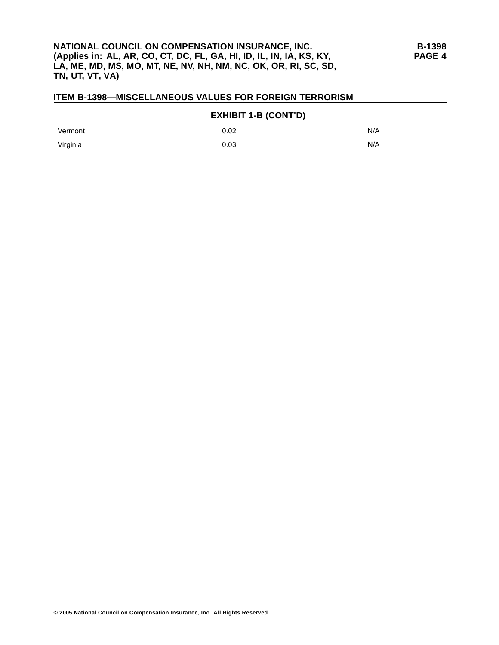#### **EXHIBIT 1-B (CONT'D)**

| Vermont  | 0.02 | N/A |
|----------|------|-----|
| Virginia | 0.03 | N/A |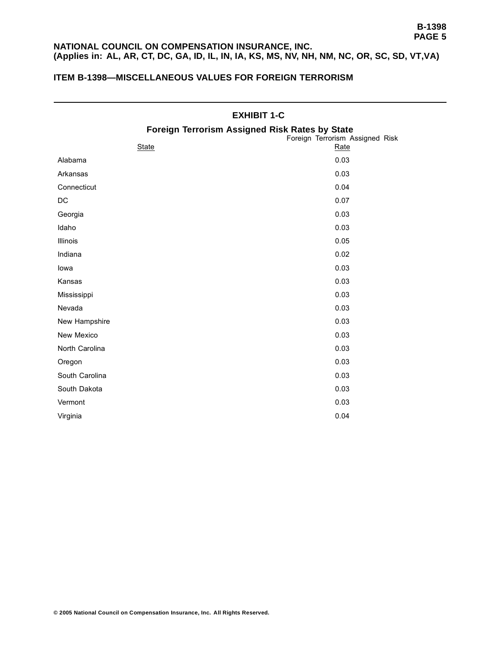## **NATIONAL COUNCIL ON COMPENSATION INSURANCE, INC. (Applies in: AL, AR, CT, DC, GA, ID, IL, IN, IA, KS, MS, NV, NH, NM, NC, OR, SC, SD, VT,VA)**

## **ITEM B-1398—MISCELLANEOUS VALUES FOR FOREIGN TERRORISM**

|                                                | <b>EXHIBIT 1-C</b>                      |
|------------------------------------------------|-----------------------------------------|
| Foreign Terrorism Assigned Risk Rates by State |                                         |
| <b>State</b>                                   | Foreign Terrorism Assigned Risk<br>Rate |
| Alabama                                        | 0.03                                    |
| Arkansas                                       | 0.03                                    |
| Connecticut                                    | 0.04                                    |
| DC                                             | 0.07                                    |
| Georgia                                        | 0.03                                    |
| Idaho                                          | 0.03                                    |
| Illinois                                       | 0.05                                    |
| Indiana                                        | 0.02                                    |
| lowa                                           | 0.03                                    |
| Kansas                                         | 0.03                                    |
| Mississippi                                    | 0.03                                    |
| Nevada                                         | 0.03                                    |
| New Hampshire                                  | 0.03                                    |
| New Mexico                                     | 0.03                                    |
| North Carolina                                 | 0.03                                    |
| Oregon                                         | 0.03                                    |
| South Carolina                                 | 0.03                                    |
| South Dakota                                   | 0.03                                    |
| Vermont                                        | 0.03                                    |
| Virginia                                       | 0.04                                    |

#### **© 2005 National Council on Compensation Insurance, Inc. All Rights Reserved.**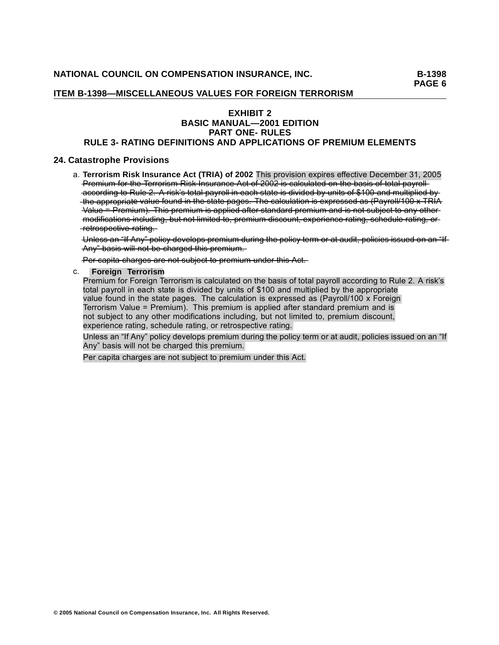**PAGE 6**

### **ITEM B-1398—MISCELLANEOUS VALUES FOR FOREIGN TERRORISM**

## **EXHIBIT 2 BASIC MANUAL—2001 EDITION PART ONE- RULES**

### **RULE 3- RATING DEFINITIONS AND APPLICATIONS OF PREMIUM ELEMENTS**

#### **24. Catastrophe Provisions**

a. **Terrorism Risk Insurance Act (TRIA) of 2002** This provision expires effective December 31, 2005 Premium for the Terrorism Risk Insurance Act of 2002 is calculated on the basis of total payrollaccording to Rule 2. A risk's total payroll in each state is divided by units of \$100 and multiplied by the appropriate value found in the state pages. The calculation is expressed as (Payroll/100 x TRIA Value = Premium). This premium is applied after standard premium and is not subject to any othermodifications including, but not limited to, premium discount, experience rating, schedule rating, or  $-$ retrospective-rating.

Unless an "If Any" policy develops premium during the policy term or at audit, policies issued on an "If —nA—y—"—**—**—ab—s—i ——s**—**—i w———l**—**l—on—t—**—**—eb—**—**—hc—a—r——eg—d—**—**—t—i h——s**—**—r p——me—i ——mu—.—

 $\frac{P}{P}$  - Per capita charges are not subject to premium under this Act.

### c. .**Foreign Terrorism**

Premium for Foreign Terrorism is calculated on the basis of total payroll according to Rule 2. A risk's total payroll in each state is divided by units of \$100 and multiplied by the appropriate value found in the state pages. The calculation is expressed as (Payroll/100 x Foreign Terrorism Value = Premium). This premium is applied after standard premium and is not subject to any other modifications including, but not limited to, premium discount, experience rating, schedule rating, or retrospective rating.

Unless an "If Any" policy develops premium during the policy term or at audit, policies issued on an "If Any" basis will not be charged this premium.

Per capita charges are not subject to premium under this Act.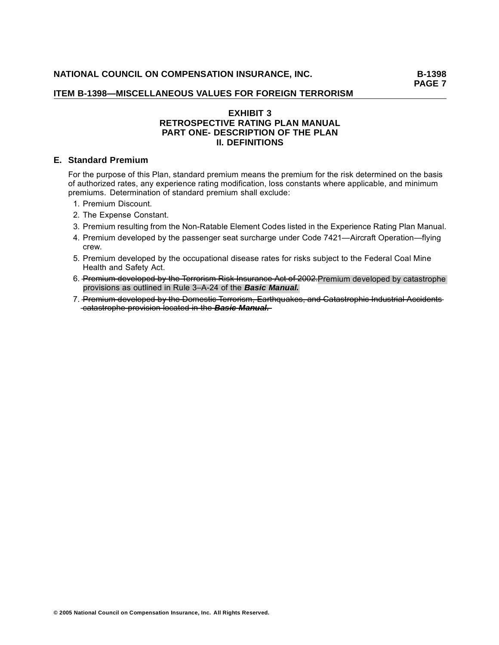**PAGE 7**

### **ITEM B-1398—MISCELLANEOUS VALUES FOR FOREIGN TERRORISM**

### **EXHIBIT 3 RETROSPECTIVE RATING PLAN MANUAL PART ONE- DESCRIPTION OF THE PLAN II. DEFINITIONS**

### **E. Standard Premium**

For the purpose of this Plan, standard premium means the premium for the risk determined on the basis of authorized rates, any experience rating modification, loss constants where applicable, and minimum premiums. Determination of standard premium shall exclude:

- 1. Premium Discount.
- 2. The Expense Constant.
- 3. Premium resulting from the Non-Ratable Element Codes listed in the Experience Rating Plan Manual.
- 4. Premium developed by the passenger seat surcharge under Code 7421—Aircraft Operation—flying crew.
- 5. Premium developed by the occupational disease rates for risks subject to the Federal Coal Mine Health and Safety Act.
- 6. Premium developed by the Terrorism Risk Insurance Act of 2002. Premium developed by catastrophe provisions as outlined in Rule 3–A-24 of the *Basic Manual.*
- 7. Premium developed by the Domestic Terrorism, Earthquakes, and Catastrophic Industrial Accidents  $-\text{catastrophic-provision located in the **Basic Manual.**$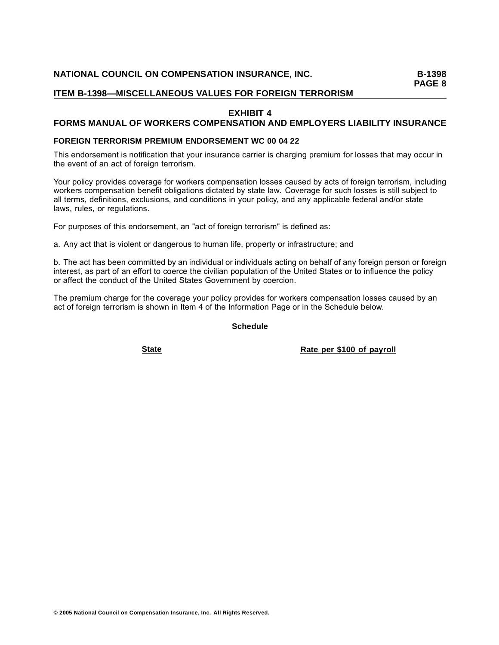### **EXHIBIT 4**

## **FORMS MANUAL OF WORKERS COMPENSATION AND EMPLOYERS LIABILITY INSURANCE**

### **FOREIGN TERRORISM PREMIUM ENDORSEMENT WC 00 04 22**

This endorsement is notification that your insurance carrier is charging premium for losses that may occur in the event of an act of foreign terrorism.

Your policy provides coverage for workers compensation losses caused by acts of foreign terrorism, including workers compensation benefit obligations dictated by state law. Coverage for such losses is still subject to all terms, definitions, exclusions, and conditions in your policy, and any applicable federal and/or state laws, rules, or regulations.

For purposes of this endorsement, an "act of foreign terrorism" is defined as:

a. Any act that is violent or dangerous to human life, property or infrastructure; and

b. The act has been committed by an individual or individuals acting on behalf of any foreign person or foreign interest, as part of an effort to coerce the civilian population of the United States or to influence the policy or affect the conduct of the United States Government by coercion.

The premium charge for the coverage your policy provides for workers compensation losses caused by an act of foreign terrorism is shown in Item 4 of the Information Page or in the Schedule below.

**Schedule**

**Rate Rate Per \$100 of payroll**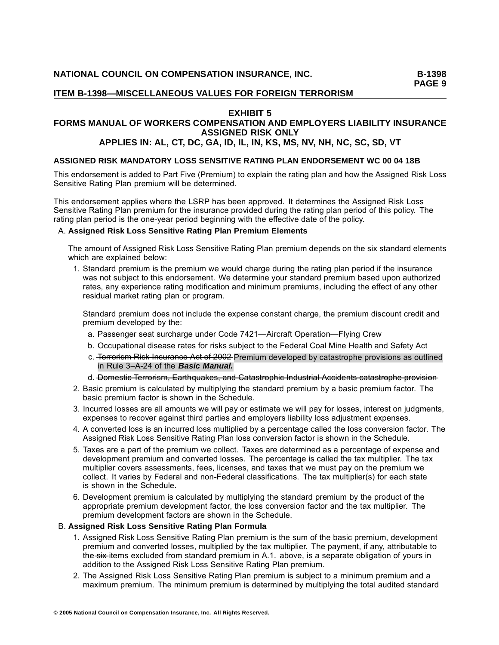### **EXHIBIT 5**

# **FORMS MANUAL OF WORKERS COMPENSATION AND EMPLOYERS LIABILITY INSURANCE ASSIGNED RISK ONLY**

# **APPLIES IN: AL, CT, DC, GA, ID, IL, IN, KS, MS, NV, NH, NC, SC, SD, VT**

### **ASSIGNED RISK MANDATORY LOSS SENSITIVE RATING PLAN ENDORSEMENT WC 00 04 18B**

This endorsement is added to Part Five (Premium) to explain the rating plan and how the Assigned Risk Loss Sensitive Rating Plan premium will be determined.

This endorsement applies where the LSRP has been approved. It determines the Assigned Risk Loss Sensitive Rating Plan premium for the insurance provided during the rating plan period of this policy. The rating plan period is the one-year period beginning with the effective date of the policy.

### A. **Assigned Risk Loss Sensitive Rating Plan Premium Elements**

The amount of Assigned Risk Loss Sensitive Rating Plan premium depends on the six standard elements which are explained below:

1. Standard premium is the premium we would charge during the rating plan period if the insurance was not subject to this endorsement. We determine your standard premium based upon authorized rates, any experience rating modification and minimum premiums, including the effect of any other residual market rating plan or program.

Standard premium does not include the expense constant charge, the premium discount credit and premium developed by the:

- a. Passenger seat surcharge under Code 7421—Aircraft Operation—Flying Crew
- b. Occupational disease rates for risks subject to the Federal Coal Mine Health and Safety Act
- c. T——r e——r—r o———mis—**—**—i R——ks—**—**—I—sn—u—r——na—c—e—**—**—c A—t—**—**—f o—**—**—02—0—2—Premium developed by catastrophe provisions as outlined in Rule 3–A-24 of the *Basic Manual.*

#### d. Domestie-Terrorism, Earthquakes, and Catastrophie-Industrial-Accidents-catastrophe-provision-

- 2. Basic premium is calculated by multiplying the standard premium by a basic premium factor. The basic premium factor is shown in the Schedule.
- 3. Incurred losses are all amounts we will pay or estimate we will pay for losses, interest on judgments, expenses to recover against third parties and employers liability loss adjustment expenses.
- 4. A converted loss is an incurred loss multiplied by a percentage called the loss conversion factor. The Assigned Risk Loss Sensitive Rating Plan loss conversion factor is shown in the Schedule.
- 5. Taxes are a part of the premium we collect. Taxes are determined as a percentage of expense and development premium and converted losses. The percentage is called the tax multiplier. The tax multiplier covers assessments, fees, licenses, and taxes that we must pay on the premium we collect. It varies by Federal and non-Federal classifications. The tax multiplier(s) for each state is shown in the Schedule.
- 6. Development premium is calculated by multiplying the standard premium by the product of the appropriate premium development factor, the loss conversion factor and the tax multiplier. The premium development factors are shown in the Schedule.

### B. **Assigned Risk Loss Sensitive Rating Plan Formula**

- 1. Assigned Risk Loss Sensitive Rating Plan premium is the sum of the basic premium, development premium and converted losses, multiplied by the tax multiplier. The payment, if any, attributable to the six items excluded from standard premium in A.1. above, is a separate obligation of yours in addition to the Assigned Risk Loss Sensitive Rating Plan premium.
- 2. The Assigned Risk Loss Sensitive Rating Plan premium is subject to a minimum premium and a maximum premium. The minimum premium is determined by multiplying the total audited standard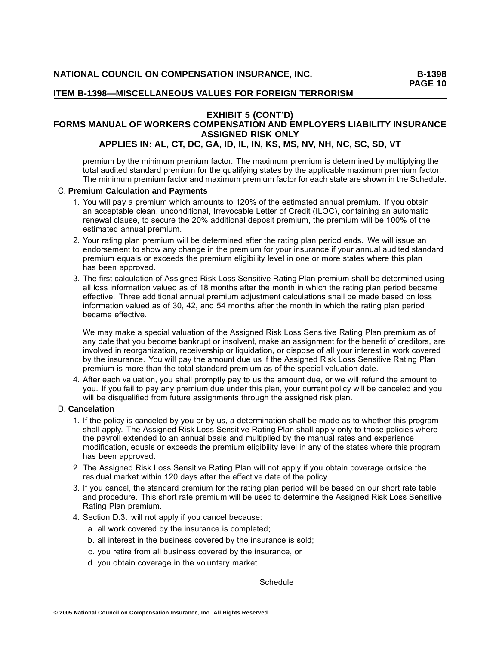#### **EXHIBIT 5 (CONT'D) FORMS MANUAL OF WORKERS COMPENSATION AND EMPLOYERS LIABILITY INSURANCE ASSIGNED RISK ONLY APPLIES IN: AL, CT, DC, GA, ID, IL, IN, KS, MS, NV, NH, NC, SC, SD, VT**

premium by the minimum premium factor. The maximum premium is determined by multiplying the total audited standard premium for the qualifying states by the applicable maximum premium factor. The minimum premium factor and maximum premium factor for each state are shown in the Schedule.

#### C. **Premium Calculation and Payments**

- 1. You will pay a premium which amounts to 120% of the estimated annual premium. If you obtain an acceptable clean, unconditional, Irrevocable Letter of Credit (ILOC), containing an automatic renewal clause, to secure the 20% additional deposit premium, the premium will be 100% of the estimated annual premium.
- 2. Your rating plan premium will be determined after the rating plan period ends. We will issue an endorsement to show any change in the premium for your insurance if your annual audited standard premium equals or exceeds the premium eligibility level in one or more states where this plan has been approved.
- 3. The first calculation of Assigned Risk Loss Sensitive Rating Plan premium shall be determined using all loss information valued as of 18 months after the month in which the rating plan period became effective. Three additional annual premium adjustment calculations shall be made based on loss information valued as of 30, 42, and 54 months after the month in which the rating plan period became effective.

We may make a special valuation of the Assigned Risk Loss Sensitive Rating Plan premium as of any date that you become bankrupt or insolvent, make an assignment for the benefit of creditors, are involved in reorganization, receivership or liquidation, or dispose of all your interest in work covered by the insurance. You will pay the amount due us if the Assigned Risk Loss Sensitive Rating Plan premium is more than the total standard premium as of the special valuation date.

4. After each valuation, you shall promptly pay to us the amount due, or we will refund the amount to you. If you fail to pay any premium due under this plan, your current policy will be canceled and you will be disqualified from future assignments through the assigned risk plan.

#### D. **Cancelation**

- 1. If the policy is canceled by you or by us, a determination shall be made as to whether this program shall apply. The Assigned Risk Loss Sensitive Rating Plan shall apply only to those policies where the payroll extended to an annual basis and multiplied by the manual rates and experience modification, equals or exceeds the premium eligibility level in any of the states where this program has been approved.
- 2. The Assigned Risk Loss Sensitive Rating Plan will not apply if you obtain coverage outside the residual market within 120 days after the effective date of the policy.
- 3. If you cancel, the standard premium for the rating plan period will be based on our short rate table and procedure. This short rate premium will be used to determine the Assigned Risk Loss Sensitive Rating Plan premium.
- 4. Section D.3. will not apply if you cancel because:
	- a. all work covered by the insurance is completed;
	- b. all interest in the business covered by the insurance is sold;
	- c. you retire from all business covered by the insurance, or
	- d. you obtain coverage in the voluntary market.

Schedule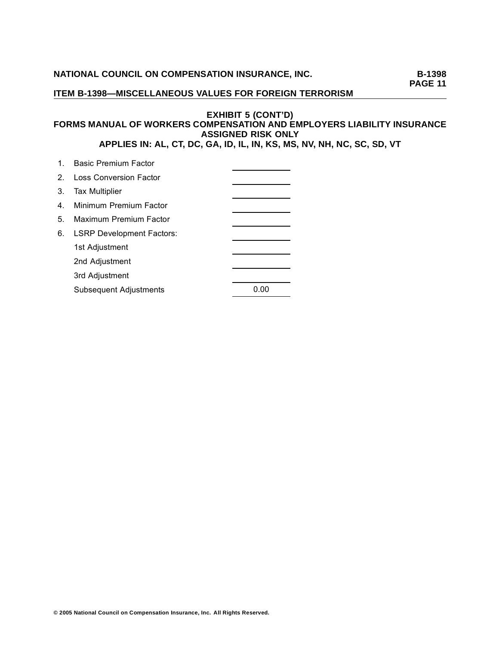**PAGE 11**

### **ITEM B-1398—MISCELLANEOUS VALUES FOR FOREIGN TERRORISM**

### **EXHIBIT 5 (CONT'D) FORMS MANUAL OF WORKERS COMPENSATION AND EMPLOYERS LIABILITY INSURANCE ASSIGNED RISK ONLY APPLIES IN: AL, CT, DC, GA, ID, IL, IN, KS, MS, NV, NH, NC, SC, SD, VT**

|                | 1. Basic Premium Factor          |      |
|----------------|----------------------------------|------|
|                | 2. Loss Conversion Factor        |      |
| 3.             | <b>Tax Multiplier</b>            |      |
| 4 <sup>1</sup> | Minimum Premium Factor           |      |
| 5.             | Maximum Premium Factor           |      |
| 6.             | <b>LSRP Development Factors:</b> |      |
|                | 1st Adjustment                   |      |
|                | 2nd Adjustment                   |      |
|                | 3rd Adjustment                   |      |
|                | <b>Subsequent Adjustments</b>    | 0.00 |
|                |                                  |      |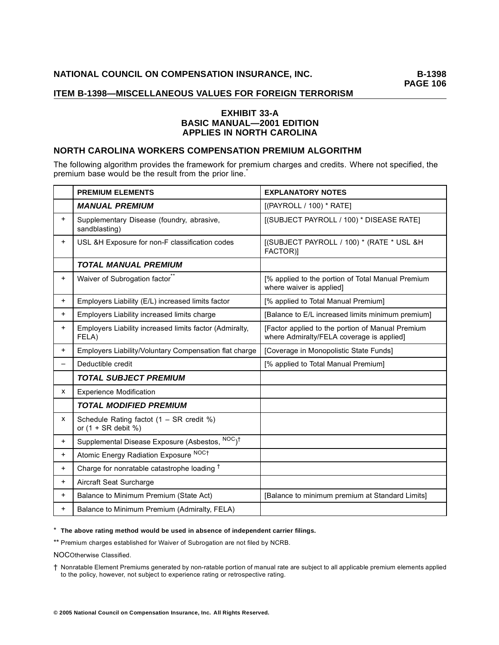### **EXHIBIT 33-A BASIC MANUAL—2001 EDITION APPLIES IN NORTH CAROLINA**

### **NORTH CAROLINA WORKERS COMPENSATION PREMIUM ALGORITHM**

The following algorithm provides the framework for premium charges and credits. Where not specified, the premium base would be the result from the prior line.<sup>\*</sup>

|           | <b>PREMIUM ELEMENTS</b>                                          | <b>EXPLANATORY NOTES</b>                                                                      |
|-----------|------------------------------------------------------------------|-----------------------------------------------------------------------------------------------|
|           | <b>MANUAL PREMIUM</b>                                            | [(PAYROLL / 100) * RATE]                                                                      |
| $\ddot{}$ | Supplementary Disease (foundry, abrasive,<br>sandblasting)       | [(SUBJECT PAYROLL / 100) * DISEASE RATE]                                                      |
| $+$       | USL &H Exposure for non-F classification codes                   | [(SUBJECT PAYROLL / 100) * (RATE * USL &H<br>FACTOR)]                                         |
|           | <b>TOTAL MANUAL PREMIUM</b>                                      |                                                                                               |
| $\ddot{}$ | Waiver of Subrogation factor <sup>®</sup>                        | [% applied to the portion of Total Manual Premium<br>where waiver is applied]                 |
| $\pm$     | Employers Liability (E/L) increased limits factor                | [% applied to Total Manual Premium]                                                           |
| $\ddot{}$ | Employers Liability increased limits charge                      | [Balance to E/L increased limits minimum premium]                                             |
| $\ddot{}$ | Employers Liability increased limits factor (Admiralty,<br>FELA) | [Factor applied to the portion of Manual Premium<br>where Admiralty/FELA coverage is applied] |
| $^{+}$    | Employers Liability/Voluntary Compensation flat charge           | [Coverage in Monopolistic State Funds]                                                        |
| -         | Deductible credit                                                | [% applied to Total Manual Premium]                                                           |
|           | <b>TOTAL SUBJECT PREMIUM</b>                                     |                                                                                               |
| x         | <b>Experience Modification</b>                                   |                                                                                               |
|           | <b>TOTAL MODIFIED PREMIUM</b>                                    |                                                                                               |
| X         | Schedule Rating factot $(1 - SR \c{c}$<br>or $(1 + SR$ debit %)  |                                                                                               |
| $+$       | Supplemental Disease Exposure (Asbestos, NOC) <sup>†</sup>       |                                                                                               |
| $\ddot{}$ | Atomic Energy Radiation Exposure NOCt                            |                                                                                               |
| $\ddot{}$ | Charge for nonratable catastrophe loading <sup>†</sup>           |                                                                                               |
| $\ddot{}$ | Aircraft Seat Surcharge                                          |                                                                                               |
| $\ddot{}$ | Balance to Minimum Premium (State Act)                           | [Balance to minimum premium at Standard Limits]                                               |
| $\ddot{}$ | Balance to Minimum Premium (Admiralty, FELA)                     |                                                                                               |

\* **The above rating method would be used in absence of independent carrier filings.**

\*\* Premium charges established for Waiver of Subrogation are not filed by NCRB.

NOCOtherwise Classified.

† Nonratable Element Premiums generated by non-ratable portion of manual rate are subject to all applicable premium elements applied to the policy, however, not subject to experience rating or retrospective rating.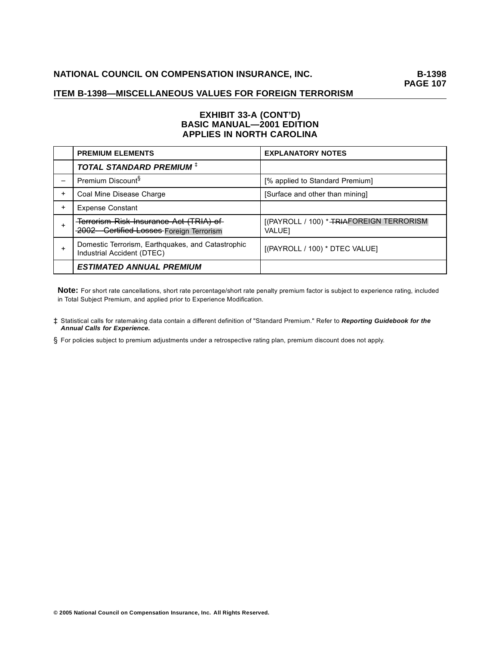### **EXHIBIT 33-A (CONT'D) BASIC MANUAL—2001 EDITION APPLIES IN NORTH CAROLINA**

|           | <b>PREMIUM ELEMENTS</b>                                                           | <b>EXPLANATORY NOTES</b>                                  |
|-----------|-----------------------------------------------------------------------------------|-----------------------------------------------------------|
|           | <b>TOTAL STANDARD PREMIUM ‡</b>                                                   |                                                           |
|           | Premium Discount <sup>§</sup>                                                     | [% applied to Standard Premium]                           |
| $\ddot{}$ | Coal Mine Disease Charge                                                          | [Surface and other than mining]                           |
| $\ddot{}$ | <b>Expense Constant</b>                                                           |                                                           |
|           | Terrorism Risk Insurance Act (TRIA) of<br>2002 Certified Losses Foreign Terrorism | [(PAYROLL / 100) * TRIAFOREIGN TERRORISM<br><b>VALUE1</b> |
|           | Domestic Terrorism, Earthquakes, and Catastrophic<br>Industrial Accident (DTEC)   | [(PAYROLL / 100) * DTEC VALUE]                            |
|           | <b>ESTIMATED ANNUAL PREMIUM</b>                                                   |                                                           |

**Note:** For short rate cancellations, short rate percentage/short rate penalty premium factor is subject to experience rating, included in Total Subject Premium, and applied prior to Experience Modification.

- ‡ Statistical calls for ratemaking data contain a different definition of "Standard Premium." Refer to *Reporting Guidebook for the Annual Calls for Experience.*
- § For policies subject to premium adjustments under a retrospective rating plan, premium discount does not apply.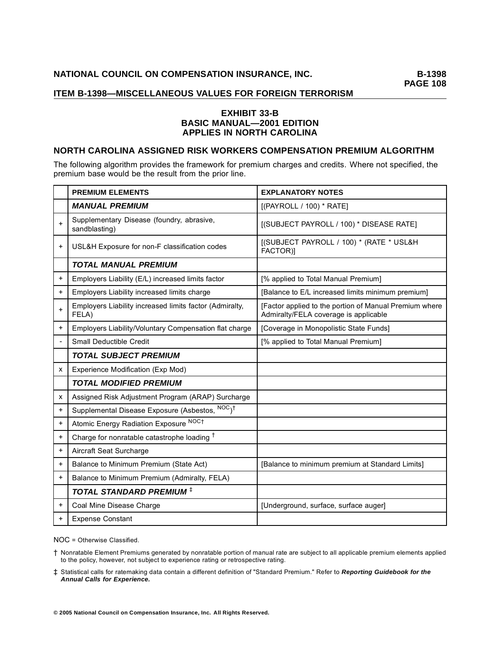### **EXHIBIT 33-B BASIC MANUAL—2001 EDITION APPLIES IN NORTH CAROLINA**

### **NORTH CAROLINA ASSIGNED RISK WORKERS COMPENSATION PREMIUM ALGORITHM**

The following algorithm provides the framework for premium charges and credits. Where not specified, the premium base would be the result from the prior line.

|           | <b>PREMIUM ELEMENTS</b>                                          | <b>EXPLANATORY NOTES</b>                                                                        |
|-----------|------------------------------------------------------------------|-------------------------------------------------------------------------------------------------|
|           | <b>MANUAL PREMIUM</b>                                            | [(PAYROLL / 100) * RATE]                                                                        |
| $\ddot{}$ | Supplementary Disease (foundry, abrasive,<br>sandblasting)       | [(SUBJECT PAYROLL / 100) * DISEASE RATE]                                                        |
| $\ddot{}$ | USL&H Exposure for non-F classification codes                    | [(SUBJECT PAYROLL / 100) * (RATE * USL&H<br>FACTOR)]                                            |
|           | <b>TOTAL MANUAL PREMIUM</b>                                      |                                                                                                 |
| $\ddot{}$ | Employers Liability (E/L) increased limits factor                | [% applied to Total Manual Premium]                                                             |
| $\ddot{}$ | Employers Liability increased limits charge                      | [Balance to E/L increased limits minimum premium]                                               |
|           | Employers Liability increased limits factor (Admiralty,<br>FELA) | [Factor applied to the portion of Manual Premium where<br>Admiralty/FELA coverage is applicable |
| $\ddot{}$ | Employers Liability/Voluntary Compensation flat charge           | [Coverage in Monopolistic State Funds]                                                          |
|           | Small Deductible Credit                                          | [% applied to Total Manual Premium]                                                             |
|           | <b>TOTAL SUBJECT PREMIUM</b>                                     |                                                                                                 |
| x         | Experience Modification (Exp Mod)                                |                                                                                                 |
|           | <b>TOTAL MODIFIED PREMIUM</b>                                    |                                                                                                 |
| x         | Assigned Risk Adjustment Program (ARAP) Surcharge                |                                                                                                 |
| $\ddot{}$ | Supplemental Disease Exposure (Asbestos, NOC) <sup>†</sup>       |                                                                                                 |
| $\ddot{}$ | Atomic Energy Radiation Exposure NOCT                            |                                                                                                 |
| +         | Charge for nonratable catastrophe loading <sup>†</sup>           |                                                                                                 |
| $\ddot{}$ | Aircraft Seat Surcharge                                          |                                                                                                 |
| $\ddot{}$ | Balance to Minimum Premium (State Act)                           | [Balance to minimum premium at Standard Limits]                                                 |
| $\ddot{}$ | Balance to Minimum Premium (Admiralty, FELA)                     |                                                                                                 |
|           | <b>TOTAL STANDARD PREMIUM ‡</b>                                  |                                                                                                 |
| $\ddot{}$ | Coal Mine Disease Charge                                         | [Underground, surface, surface auger]                                                           |
| +         | <b>Expense Constant</b>                                          |                                                                                                 |

NOC = Otherwise Classified.

† Nonratable Element Premiums generated by nonratable portion of manual rate are subject to all applicable premium elements applied to the policy, however, not subject to experience rating or retrospective rating.

‡ Statistical calls for ratemaking data contain a different definition of "Standard Premium." Refer to *Reporting Guidebook for the Annual Calls for Experience.*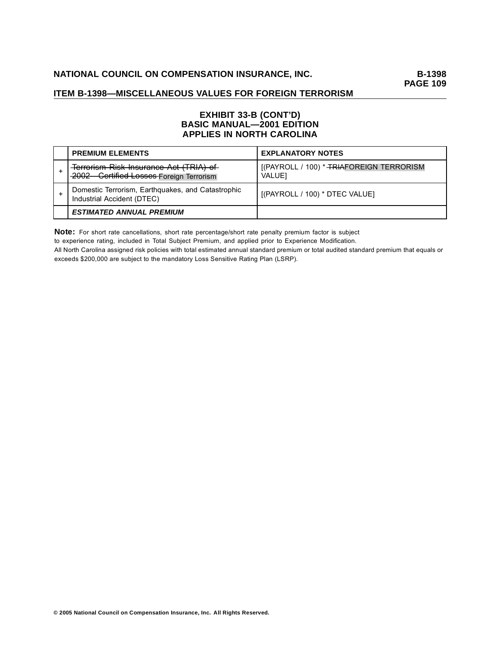### **EXHIBIT 33-B (CONT'D) BASIC MANUAL—2001 EDITION APPLIES IN NORTH CAROLINA**

| <b>PREMIUM ELEMENTS</b>                                                              | <b>EXPLANATORY NOTES</b>                                  |
|--------------------------------------------------------------------------------------|-----------------------------------------------------------|
| Terrorism Risk Insurance Act (TRIA) of<br>-2002 - Certified Losses Foreign Terrorism | [(PAYROLL / 100) * TRIAFOREIGN TERRORISM<br><b>VALUE1</b> |
| Domestic Terrorism, Earthquakes, and Catastrophic<br>Industrial Accident (DTEC)      | [(PAYROLL / 100) * DTEC VALUE]                            |
| <b>ESTIMATED ANNUAL PREMIUM</b>                                                      |                                                           |

**Note:** For short rate cancellations, short rate percentage/short rate penalty premium factor is subject

to experience rating, included in Total Subject Premium, and applied prior to Experience Modification.

All North Carolina assigned risk policies with total estimated annual standard premium or total audited standard premium that equals or exceeds \$200,000 are subject to the mandatory Loss Sensitive Rating Plan (LSRP).